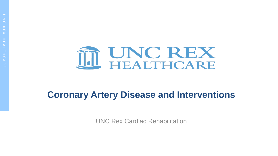

#### **Coronary Artery Disease and Interventions**

UNC Rex Cardiac Rehabilitation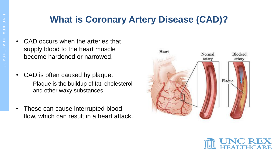#### **What is Coronary Artery Disease (CAD)?**

- CAD occurs when the arteries that supply blood to the heart muscle become hardened or narrowed.
- CAD is often caused by plaque.
	- Plaque is the buildup of fat, cholesterol and other waxy substances
- These can cause interrupted blood flow, which can result in a heart attack.



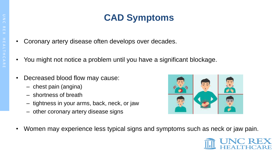## **CAD Symptoms**

- Coronary artery disease often develops over decades.
- You might not notice a problem until you have a significant blockage.
- Decreased blood flow may cause:
	- chest pain (angina)
	- shortness of breath
	- tightness in your arms, back, neck, or jaw
	- other coronary artery disease signs



• Women may experience less typical signs and symptoms such as neck or jaw pain.

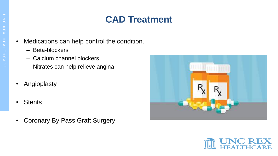## **CAD Treatment**

- Medications can help control the condition.
	- Beta-blockers
	- Calcium channel blockers
	- Nitrates can help relieve angina
- Angioplasty
- Stents
- Coronary By Pass Graft Surgery



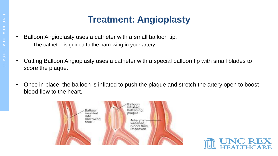## **Treatment: Angioplasty**

- Balloon Angioplasty uses a catheter with a small balloon tip.
	- The catheter is guided to the narrowing in your artery.
- Cutting Balloon Angioplasty uses a catheter with a special balloon tip with small blades to score the plaque.
- Once in place, the balloon is inflated to push the plaque and stretch the artery open to boost blood flow to the heart.



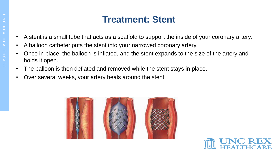#### **Treatment: Stent**

- A stent is a small tube that acts as a scaffold to support the inside of your coronary artery.
- A balloon catheter puts the stent into your narrowed coronary artery.
- Once in place, the balloon is inflated, and the stent expands to the size of the artery and holds it open.
- The balloon is then deflated and removed while the stent stays in place.
- Over several weeks, your artery heals around the stent.



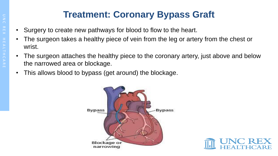## **Treatment: Coronary Bypass Graft**

- Surgery to create new pathways for blood to flow to the heart.
- The surgeon takes a healthy piece of vein from the leg or artery from the chest or wrist.
- The surgeon attaches the healthy piece to the coronary artery, just above and below the narrowed area or blockage.
- This allows blood to bypass (get around) the blockage.